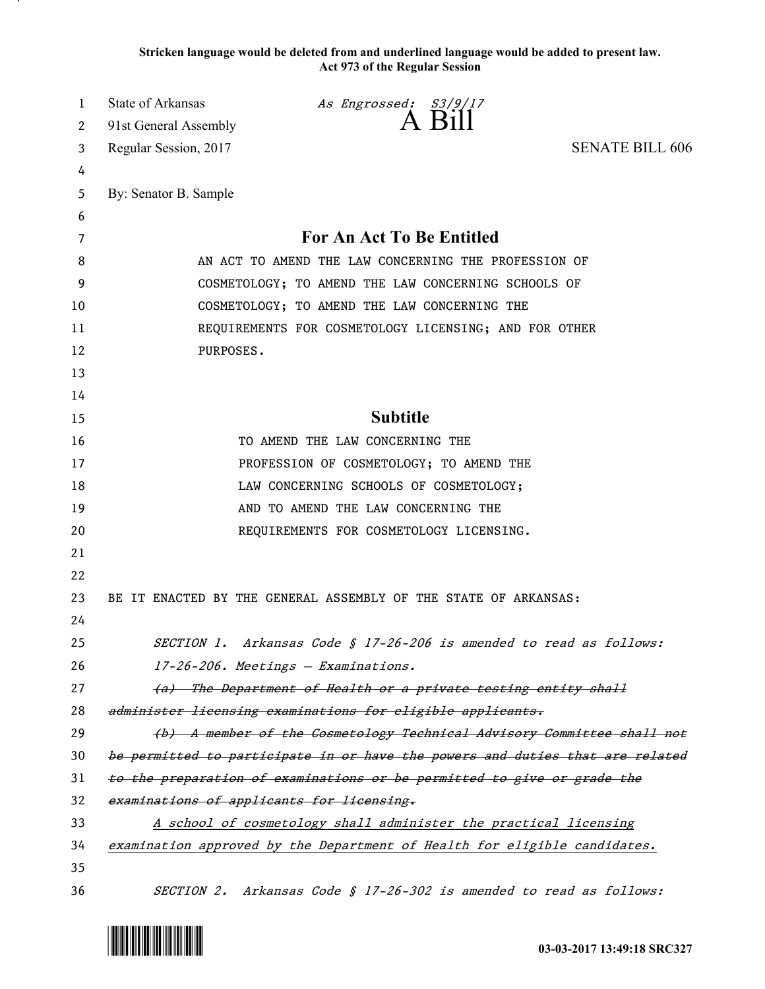**Stricken language would be deleted from and underlined language would be added to present law. Act 973 of the Regular Session**

| 1  | State of Arkansas                                                             | As Engrossed: S3/9/17                                                     |                        |
|----|-------------------------------------------------------------------------------|---------------------------------------------------------------------------|------------------------|
| 2  | 91st General Assembly                                                         | $A$ Bill                                                                  |                        |
| 3  | Regular Session, 2017                                                         |                                                                           | <b>SENATE BILL 606</b> |
| 4  |                                                                               |                                                                           |                        |
| 5  | By: Senator B. Sample                                                         |                                                                           |                        |
| 6  |                                                                               |                                                                           |                        |
| 7  | For An Act To Be Entitled                                                     |                                                                           |                        |
| 8  | AN ACT TO AMEND THE LAW CONCERNING THE PROFESSION OF                          |                                                                           |                        |
| 9  | COSMETOLOGY; TO AMEND THE LAW CONCERNING SCHOOLS OF                           |                                                                           |                        |
| 10 | COSMETOLOGY; TO AMEND THE LAW CONCERNING THE                                  |                                                                           |                        |
| 11 | REQUIREMENTS FOR COSMETOLOGY LICENSING; AND FOR OTHER                         |                                                                           |                        |
| 12 | PURPOSES.                                                                     |                                                                           |                        |
| 13 |                                                                               |                                                                           |                        |
| 14 |                                                                               |                                                                           |                        |
| 15 | <b>Subtitle</b>                                                               |                                                                           |                        |
| 16 | TO AMEND THE LAW CONCERNING THE                                               |                                                                           |                        |
| 17 | PROFESSION OF COSMETOLOGY; TO AMEND THE                                       |                                                                           |                        |
| 18 | LAW CONCERNING SCHOOLS OF COSMETOLOGY;                                        |                                                                           |                        |
| 19 | AND TO AMEND THE LAW CONCERNING THE                                           |                                                                           |                        |
| 20 |                                                                               | REQUIREMENTS FOR COSMETOLOGY LICENSING.                                   |                        |
| 21 |                                                                               |                                                                           |                        |
| 22 |                                                                               |                                                                           |                        |
| 23 |                                                                               | BE IT ENACTED BY THE GENERAL ASSEMBLY OF THE STATE OF ARKANSAS:           |                        |
| 24 |                                                                               |                                                                           |                        |
| 25 |                                                                               | SECTION 1. Arkansas Code § 17-26-206 is amended to read as follows:       |                        |
| 26 | 17-26-206. Meetings - Examinations.                                           |                                                                           |                        |
| 27 | (a) The Department of Health or a private testing entity shall                |                                                                           |                        |
| 28 | administer licensing examinations for eligible applicants.                    |                                                                           |                        |
| 29 | (b) A member of the Cosmetology Technical Advisory Committee shall not        |                                                                           |                        |
| 30 | be permitted to participate in or have the powers and duties that are related |                                                                           |                        |
| 31 | to the preparation of examinations or be permitted to give or grade the       |                                                                           |                        |
| 32 | examinations of applicants for licensing.                                     |                                                                           |                        |
| 33 | A school of cosmetology shall administer the practical licensing              |                                                                           |                        |
| 34 |                                                                               | examination approved by the Department of Health for eligible candidates. |                        |
| 35 |                                                                               |                                                                           |                        |
| 36 |                                                                               | SECTION 2. Arkansas Code § 17-26-302 is amended to read as follows:       |                        |